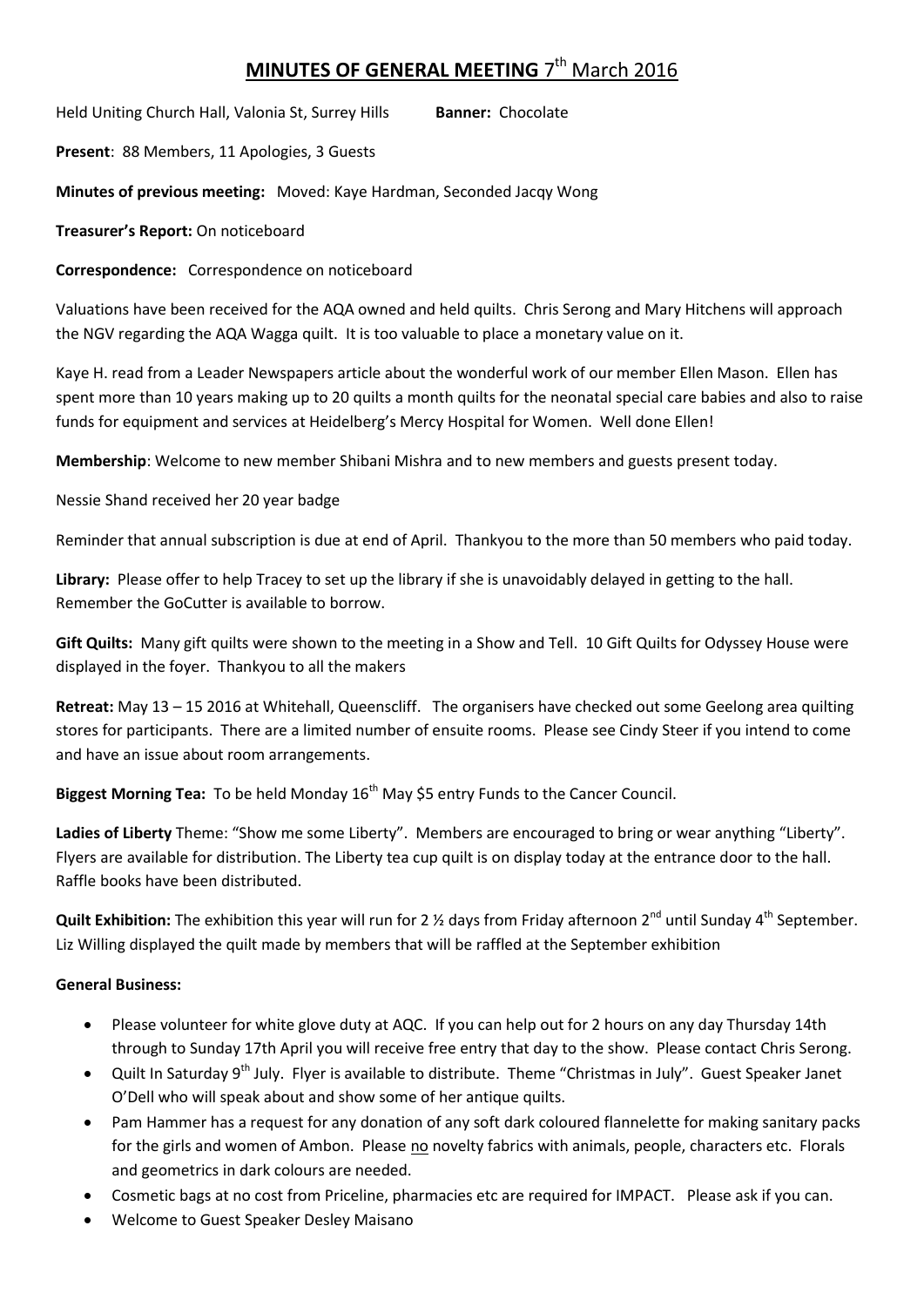## **MINUTES OF GENERAL MEETING 7<sup>th</sup> March 2016**

Held Uniting Church Hall, Valonia St, Surrey Hills **Banner:** Chocolate

**Present**: 88 Members, 11 Apologies, 3 Guests

**Minutes of previous meeting:** Moved: Kaye Hardman, Seconded Jacqy Wong

**Treasurer's Report:** On noticeboard

**Correspondence:** Correspondence on noticeboard

Valuations have been received for the AQA owned and held quilts. Chris Serong and Mary Hitchens will approach the NGV regarding the AQA Wagga quilt. It is too valuable to place a monetary value on it.

Kaye H. read from a Leader Newspapers article about the wonderful work of our member Ellen Mason. Ellen has spent more than 10 years making up to 20 quilts a month quilts for the neonatal special care babies and also to raise funds for equipment and services at Heidelberg's Mercy Hospital for Women. Well done Ellen!

**Membership**: Welcome to new member Shibani Mishra and to new members and guests present today.

Nessie Shand received her 20 year badge

Reminder that annual subscription is due at end of April. Thankyou to the more than 50 members who paid today.

**Library:** Please offer to help Tracey to set up the library if she is unavoidably delayed in getting to the hall. Remember the GoCutter is available to borrow.

**Gift Quilts:** Many gift quilts were shown to the meeting in a Show and Tell. 10 Gift Quilts for Odyssey House were displayed in the foyer. Thankyou to all the makers

**Retreat:** May 13 – 15 2016 at Whitehall, Queenscliff. The organisers have checked out some Geelong area quilting stores for participants. There are a limited number of ensuite rooms. Please see Cindy Steer if you intend to come and have an issue about room arrangements.

**Biggest Morning Tea:** To be held Monday 16<sup>th</sup> May \$5 entry Funds to the Cancer Council.

**Ladies of Liberty** Theme: "Show me some Liberty". Members are encouraged to bring or wear anything "Liberty". Flyers are available for distribution. The Liberty tea cup quilt is on display today at the entrance door to the hall. Raffle books have been distributed.

**Quilt Exhibition:** The exhibition this year will run for 2 % days from Friday afternoon 2<sup>nd</sup> until Sunday 4<sup>th</sup> September. Liz Willing displayed the quilt made by members that will be raffled at the September exhibition

## **General Business:**

- Please volunteer for white glove duty at AQC. If you can help out for 2 hours on any day Thursday 14th through to Sunday 17th April you will receive free entry that day to the show. Please contact Chris Serong.
- Quilt In Saturday 9<sup>th</sup> July. Flyer is available to distribute. Theme "Christmas in July". Guest Speaker Janet O'Dell who will speak about and show some of her antique quilts.
- Pam Hammer has a request for any donation of any soft dark coloured flannelette for making sanitary packs for the girls and women of Ambon. Please no novelty fabrics with animals, people, characters etc. Florals and geometrics in dark colours are needed.
- Cosmetic bags at no cost from Priceline, pharmacies etc are required for IMPACT. Please ask if you can.
- Welcome to Guest Speaker Desley Maisano